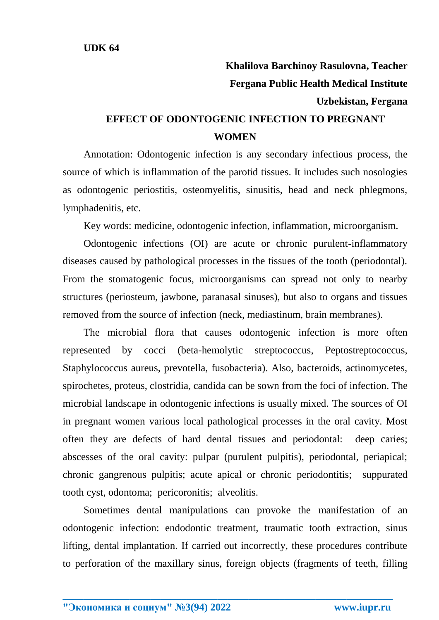## **Khalilova Barchinoy Rasulovna, Teacher Fergana Public Health Medical Institute Uzbekistan, Fergana EFFECT OF ODONTOGENIC INFECTION TO PREGNANT WOMEN**

Annotation: Odontogenic infection is any secondary infectious process, the source of which is inflammation of the parotid tissues. It includes such nosologies as odontogenic periostitis, osteomyelitis, sinusitis, head and neck phlegmons, lymphadenitis, etc.

Key words: medicine, odontogenic infection, inflammation, microorganism.

Odontogenic infections (OI) are acute or chronic purulent-inflammatory diseases caused by pathological processes in the tissues of the tooth (periodontal). From the stomatogenic focus, microorganisms can spread not only to nearby structures (periosteum, jawbone, paranasal sinuses), but also to organs and tissues removed from the source of infection (neck, mediastinum, brain membranes).

The microbial flora that causes odontogenic infection is more often represented by cocci (beta-hemolytic streptococcus, Peptostreptococcus, Staphylococcus aureus, prevotella, fusobacteria). Also, bacteroids, actinomycetes, spirochetes, proteus, clostridia, candida can be sown from the foci of infection. The microbial landscape in odontogenic infections is usually mixed. The sources of OI in pregnant women various local pathological processes in the oral cavity. Most often they are defects of hard dental tissues and periodontal: deep caries; abscesses of the oral cavity: pulpar (purulent pulpitis), periodontal, periapical; chronic gangrenous pulpitis; acute apical or chronic periodontitis; suppurated tooth cyst, odontoma; pericoronitis; alveolitis.

Sometimes dental manipulations can provoke the manifestation of an odontogenic infection: endodontic treatment, traumatic tooth extraction, sinus lifting, dental implantation. If carried out incorrectly, these procedures contribute to perforation of the maxillary sinus, foreign objects (fragments of teeth, filling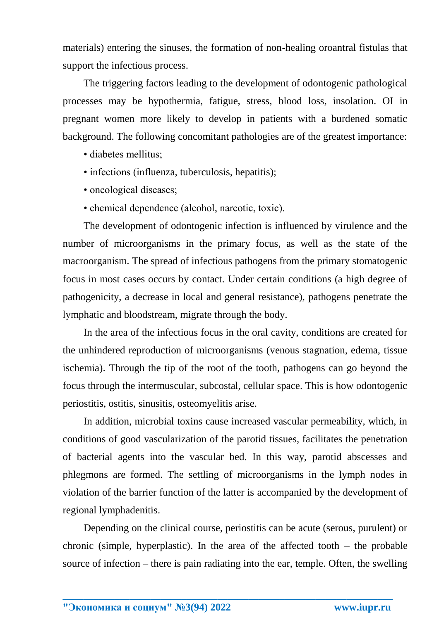materials) entering the sinuses, the formation of non-healing oroantral fistulas that support the infectious process.

The triggering factors leading to the development of odontogenic pathological processes may be hypothermia, fatigue, stress, blood loss, insolation. OI in pregnant women more likely to develop in patients with a burdened somatic background. The following concomitant pathologies are of the greatest importance:

- diabetes mellitus;
- infections (influenza, tuberculosis, hepatitis);
- oncological diseases;
- chemical dependence (alcohol, narcotic, toxic).

The development of odontogenic infection is influenced by virulence and the number of microorganisms in the primary focus, as well as the state of the macroorganism. The spread of infectious pathogens from the primary stomatogenic focus in most cases occurs by contact. Under certain conditions (a high degree of pathogenicity, a decrease in local and general resistance), pathogens penetrate the lymphatic and bloodstream, migrate through the body.

In the area of the infectious focus in the oral cavity, conditions are created for the unhindered reproduction of microorganisms (venous stagnation, edema, tissue ischemia). Through the tip of the root of the tooth, pathogens can go beyond the focus through the intermuscular, subcostal, cellular space. This is how odontogenic periostitis, ostitis, sinusitis, osteomyelitis arise.

In addition, microbial toxins cause increased vascular permeability, which, in conditions of good vascularization of the parotid tissues, facilitates the penetration of bacterial agents into the vascular bed. In this way, parotid abscesses and phlegmons are formed. The settling of microorganisms in the lymph nodes in violation of the barrier function of the latter is accompanied by the development of regional lymphadenitis.

Depending on the clinical course, periostitis can be acute (serous, purulent) or chronic (simple, hyperplastic). In the area of the affected tooth  $-$  the probable source of infection – there is pain radiating into the ear, temple. Often, the swelling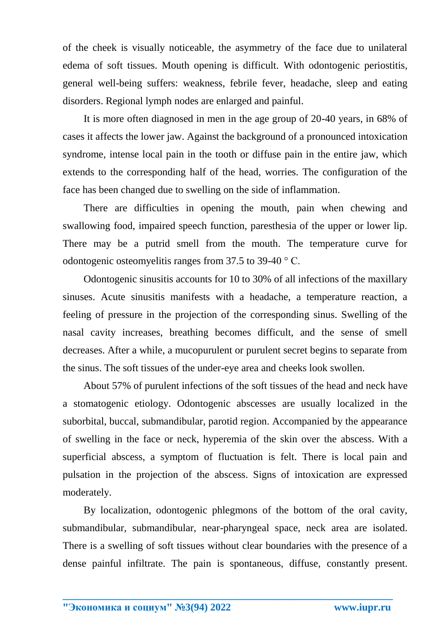of the cheek is visually noticeable, the asymmetry of the face due to unilateral edema of soft tissues. Mouth opening is difficult. With odontogenic periostitis, general well-being suffers: weakness, febrile fever, headache, sleep and eating disorders. Regional lymph nodes are enlarged and painful.

It is more often diagnosed in men in the age group of 20-40 years, in 68% of cases it affects the lower jaw. Against the background of a pronounced intoxication syndrome, intense local pain in the tooth or diffuse pain in the entire jaw, which extends to the corresponding half of the head, worries. The configuration of the face has been changed due to swelling on the side of inflammation.

There are difficulties in opening the mouth, pain when chewing and swallowing food, impaired speech function, paresthesia of the upper or lower lip. There may be a putrid smell from the mouth. The temperature curve for odontogenic osteomyelitis ranges from 37.5 to 39-40 ° C.

Odontogenic sinusitis accounts for 10 to 30% of all infections of the maxillary sinuses. Acute sinusitis manifests with a headache, a temperature reaction, a feeling of pressure in the projection of the corresponding sinus. Swelling of the nasal cavity increases, breathing becomes difficult, and the sense of smell decreases. After a while, a mucopurulent or purulent secret begins to separate from the sinus. The soft tissues of the under-eye area and cheeks look swollen.

About 57% of purulent infections of the soft tissues of the head and neck have a stomatogenic etiology. Odontogenic abscesses are usually localized in the suborbital, buccal, submandibular, parotid region. Accompanied by the appearance of swelling in the face or neck, hyperemia of the skin over the abscess. With a superficial abscess, a symptom of fluctuation is felt. There is local pain and pulsation in the projection of the abscess. Signs of intoxication are expressed moderately.

By localization, odontogenic phlegmons of the bottom of the oral cavity, submandibular, submandibular, near-pharyngeal space, neck area are isolated. There is a swelling of soft tissues without clear boundaries with the presence of a dense painful infiltrate. The pain is spontaneous, diffuse, constantly present.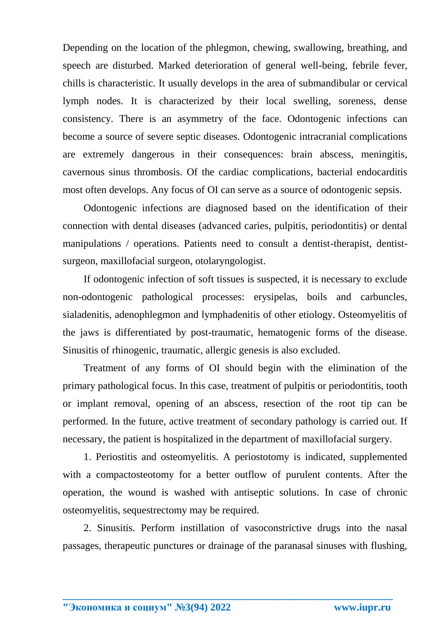Depending on the location of the phlegmon, chewing, swallowing, breathing, and speech are disturbed. Marked deterioration of general well-being, febrile fever, chills is characteristic. It usually develops in the area of submandibular or cervical lymph nodes. It is characterized by their local swelling, soreness, dense consistency. There is an asymmetry of the face. Odontogenic infections can become a source of severe septic diseases. Odontogenic intracranial complications are extremely dangerous in their consequences: brain abscess, meningitis, cavernous sinus thrombosis. Of the cardiac complications, bacterial endocarditis most often develops. Any focus of OI can serve as a source of odontogenic sepsis.

Odontogenic infections are diagnosed based on the identification of their connection with dental diseases (advanced caries, pulpitis, periodontitis) or dental manipulations / operations. Patients need to consult a dentist-therapist, dentistsurgeon, maxillofacial surgeon, otolaryngologist.

If odontogenic infection of soft tissues is suspected, it is necessary to exclude non-odontogenic pathological processes: erysipelas, boils and carbuncles, sialadenitis, adenophlegmon and lymphadenitis of other etiology. Osteomyelitis of the jaws is differentiated by post-traumatic, hematogenic forms of the disease. Sinusitis of rhinogenic, traumatic, allergic genesis is also excluded.

Treatment of any forms of OI should begin with the elimination of the primary pathological focus. In this case, treatment of pulpitis or periodontitis, tooth or implant removal, opening of an abscess, resection of the root tip can be performed. In the future, active treatment of secondary pathology is carried out. If necessary, the patient is hospitalized in the department of maxillofacial surgery.

1. Periostitis and osteomyelitis. A periostotomy is indicated, supplemented with a compactosteotomy for a better outflow of purulent contents. After the operation, the wound is washed with antiseptic solutions. In case of chronic osteomyelitis, sequestrectomy may be required.

2. Sinusitis. Perform instillation of vasoconstrictive drugs into the nasal passages, therapeutic punctures or drainage of the paranasal sinuses with flushing,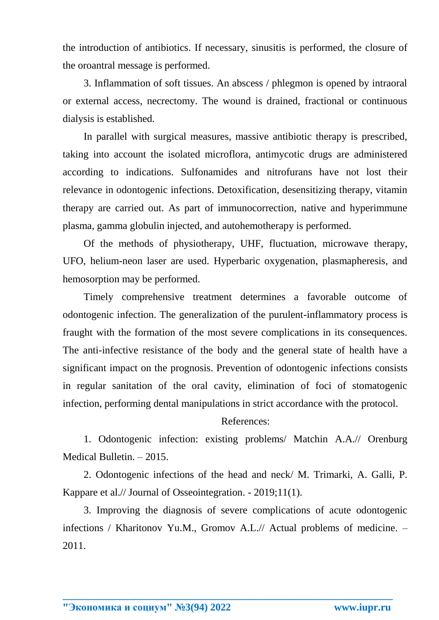the introduction of antibiotics. If necessary, sinusitis is performed, the closure of the oroantral message is performed.

3. Inflammation of soft tissues. An abscess / phlegmon is opened by intraoral or external access, necrectomy. The wound is drained, fractional or continuous dialysis is established.

In parallel with surgical measures, massive antibiotic therapy is prescribed, taking into account the isolated microflora, antimycotic drugs are administered according to indications. Sulfonamides and nitrofurans have not lost their relevance in odontogenic infections. Detoxification, desensitizing therapy, vitamin therapy are carried out. As part of immunocorrection, native and hyperimmune plasma, gamma globulin injected, and autohemotherapy is performed.

Of the methods of physiotherapy, UHF, fluctuation, microwave therapy, UFO, helium-neon laser are used. Hyperbaric oxygenation, plasmapheresis, and hemosorption may be performed.

Timely comprehensive treatment determines a favorable outcome of odontogenic infection. The generalization of the purulent-inflammatory process is fraught with the formation of the most severe complications in its consequences. The anti-infective resistance of the body and the general state of health have a significant impact on the prognosis. Prevention of odontogenic infections consists in regular sanitation of the oral cavity, elimination of foci of stomatogenic infection, performing dental manipulations in strict accordance with the protocol.

References:

1. Odontogenic infection: existing problems/ Matchin A.A.// Orenburg Medical Bulletin. – 2015.

2. Odontogenic infections of the head and neck/ M. Trimarki, A. Galli, P. Kappare et al.// Journal of Osseointegration. - 2019;11(1).

3. Improving the diagnosis of severe complications of acute odontogenic infections / Kharitonov Yu.M., Gromov A.L.// Actual problems of medicine. – 2011.